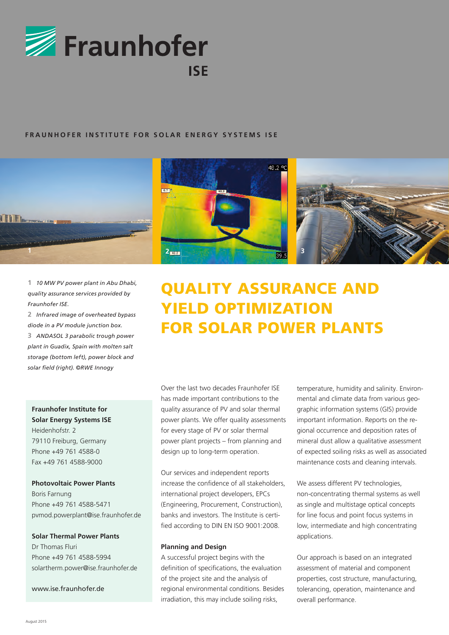

### **FRAUNHOFER INSTITUTE FOR SOLAR ENERGY SYSTEMS ISE**



**1** *10 MW PV power plant in Abu Dhabi, quality assurance services provided by Fraunhofer ISE.*

**2** *Infrared image of overheated bypass diode in a PV module junction box.* **3** *ANDASOL 3 parabolic trough power plant in Guadix, Spain with molten salt* 

*storage (bottom left), power block and solar field (right). ©RWE Innogy* 

# **Fraunhofer Institute for Solar Energy Systems ISE**

Heidenhofstr. 2 79110 Freiburg, Germany Phone +49 761 4588-0 Fax +49 761 4588-9000

#### **Photovoltaic Power Plants**

Boris Farnung Phone +49 761 4588-5471 pvmod.powerplant@ise.fraunhofer.de

#### **Solar Thermal Power Plants**

Dr Thomas Fluri Phone +49 761 4588-5994 solartherm.power@ise.fraunhofer.de

www.ise.fraunhofer.de





# QUALITY ASSURANCE AND YIELD OPTIMIZATION FOR SOLAR POWER PLANTS

Over the last two decades Fraunhofer ISE has made important contributions to the quality assurance of PV and solar thermal power plants. We offer quality assessments for every stage of PV or solar thermal power plant projects – from planning and design up to long-term operation.

Our services and independent reports increase the confidence of all stakeholders, international project developers, EPCs (Engineering, Procurement, Construction), banks and investors. The Institute is certified according to DIN EN ISO 9001:2008.

#### **Planning and Design**

A successful project begins with the definition of specifications, the evaluation of the project site and the analysis of regional environmental conditions. Besides irradiation, this may include soiling risks,

temperature, humidity and salinity. Environmental and climate data from various geographic information systems (GIS) provide important information. Reports on the regional occurrence and deposition rates of mineral dust allow a qualitative assessment of expected soiling risks as well as associated maintenance costs and cleaning intervals.

We assess different PV technologies, non-concentrating thermal systems as well as single and multistage optical concepts for line focus and point focus systems in low, intermediate and high concentrating applications.

Our approach is based on an integrated assessment of material and component properties, cost structure, manufacturing, tolerancing, operation, maintenance and overall performance.